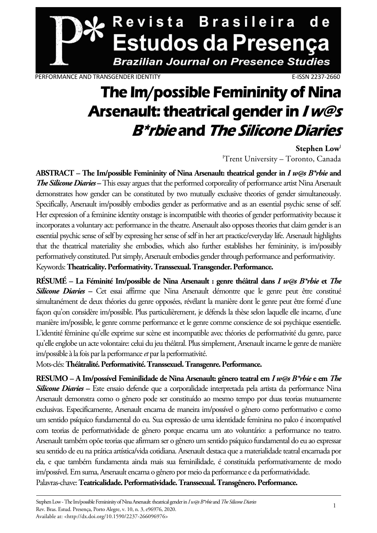

PERFORMANCE AND TRANSGENDER IDENTITY **E-ISSN 2237-2660** 

### **The Im/possible Femininity of Nina Arsenault: theatrical gender in I w@s B\*rbie and The Silicone Diaries**

Stephen Low<sup>1</sup> 'Trent University - Toronto, Canada

**ABSTRACT – The Im/possible Femininity of Nina Arsenault: theatrical gender in** *I w@s B\*rbie* **and**  *The Silicone Diaries* **–** This essay argues that the performed corporeality of performance artist Nina Arsenault demonstrates how gender can be constituted by two mutually exclusive theories of gender simultaneously. Specifically, Arsenault im/possibly embodies gender as performative and as an essential psychic sense of self. Her expression of a feminine identity onstage is incompatible with theories of gender performativity because it incorporates a voluntary act: performance in the theatre. Arsenault also opposes theories that claim gender is an essential psychic sense of self by expressing her sense of self in her art practice/everyday life. Arsenault highlights that the theatrical materiality she embodies, which also further establishes her femininity, is im/possibly performatively constituted. Put simply, Arsenault embodies gender through performance and performativity. Keywords: **Theatricality. Performativity. Transsexual. Transgender. Performance.** 

**RÉSUMÉ – La Féminité Im/possible de Nina Arsenault : genre théâtral dans** *I w@s B\*rbie* **et** *The*  **Silicone Diaries** – Cet essai affirme que Nina Arsenault démontre que le genre peut être constitué simultanément de deux théories du genre opposées, révélant la manière dont le genre peut être formé d'une façon qu'on considère im/possible. Plus particulièrement, je défends la thèse selon laquelle elle incarne, d'une manière im/possible, le genre comme performance et le genre comme conscience de soi psychique essentielle. L'identité féminine qu'elle exprime sur scène est incompatible avec théories de performativité du genre, parce qu'elle englobe un acte volontaire: celui du jeu théâtral. Plus simplement, Arsenault incarne le genre de manière im/possible à la fois par la performance *et* par la performativité.

Mots-clés: **Théâtralité. Performativité. Transsexuel. Transgenre. Performance.** 

**RESUMO – A Im/possível Feminilidade de Nina Arsenault: gênero teatral em** *I w@s B\*rbie* **e em** *The Silicone Diaries* **–** Este ensaio defende que a corporalidade interpretada pela artista da performance Nina Arsenault demonstra como o gênero pode ser constituído ao mesmo tempo por duas teorias mutuamente exclusivas. Especificamente, Arsenault encarna de maneira im/possível o gênero como performativo e como um sentido psíquico fundamental do eu. Sua expressão de uma identidade feminina no palco é incompatível com teorias de performatividade de gênero porque encarna um ato voluntário: a performance no teatro. Arsenault também opõe teorias que afirmam ser o gênero um sentido psíquico fundamental do eu ao expressar seu sentido de eu na prática artística/vida cotidiana. Arsenault destaca que a materialidade teatral encarnada por ela, e que também fundamenta ainda mais sua feminilidade, é constituída performativamente de modo im/possível. Em suma, Arsenault encarna o gênero por meio da performance e da performatividade. Palavras-chave: **Teatricalidade. Performatividade. Transsexual. Transgênero. Performance.**

Stephen Low - The Im/possible Femininity of Nina Arsenault: theatrical gender in *I w@s B\*rbie* and *The Silicone Diaries* Rev. Bras. Estud. Presença, Porto Alegre, v. 10, n. 3, e96976, 2020. Available at: <http://dx.doi.org/10.1590/2237-266096976>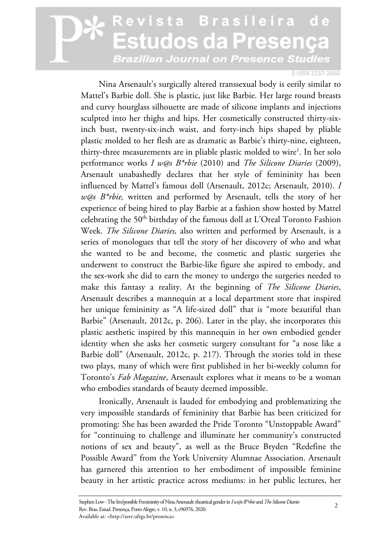#### E-ISSN 2237-2660

Nina Arsenault's surgically altered transsexual body is eerily similar to Mattel's Barbie doll. She is plastic, just like Barbie. Her large round breasts and curvy hourglass silhouette are made of silicone implants and injections sculpted into her thighs and hips. Her cosmetically constructed thirty-sixinch bust, twenty-six-inch waist, and forty-inch hips shaped by pliable plastic molded to her flesh are as dramatic as Barbie's thirty-nine, eighteen, thirty-three measurements are in pliable plastic molded to wire<sup>1</sup>. In her solo performance works *I w@s B\*rbie* (2010) and *The Silicone Diaries* (2009), Arsenault unabashedly declares that her style of femininity has been influenced by Mattel's famous doll (Arsenault, 2012c; Arsenault, 2010). *I w@s B\*rbie,* written and performed by Arsenault, tells the story of her experience of being hired to play Barbie at a fashion show hosted by Mattel celebrating the 50<sup>th</sup> birthday of the famous doll at L'Oreal Toronto Fashion Week. *The Silicone Diaries,* also written and performed by Arsenault, is a series of monologues that tell the story of her discovery of who and what she wanted to be and become, the cosmetic and plastic surgeries she underwent to construct the Barbie-like figure she aspired to embody, and the sex-work she did to earn the money to undergo the surgeries needed to make this fantasy a reality. At the beginning of *The Silicone Diaries*, Arsenault describes a mannequin at a local department store that inspired her unique femininity as "A life-sized doll" that is "more beautiful than Barbie" (Arsenault, 2012c, p. 206). Later in the play, she incorporates this plastic aesthetic inspired by this mannequin in her own embodied gender identity when she asks her cosmetic surgery consultant for "a nose like a Barbie doll" (Arsenault, 2012c, p. 217). Through the stories told in these two plays, many of which were first published in her bi-weekly column for Toronto's *Fab Magazine*, Arsenault explores what it means to be a woman who embodies standards of beauty deemed impossible.

Ironically, Arsenault is lauded for embodying and problematizing the very impossible standards of femininity that Barbie has been criticized for promoting: She has been awarded the Pride Toronto "Unstoppable Award" for "continuing to challenge and illuminate her community's constructed notions of sex and beauty", as well as the Bruce Bryden "Redefine the Possible Award" from the York University Alumnae Association. Arsenault has garnered this attention to her embodiment of impossible feminine beauty in her artistic practice across mediums: in her public lectures, her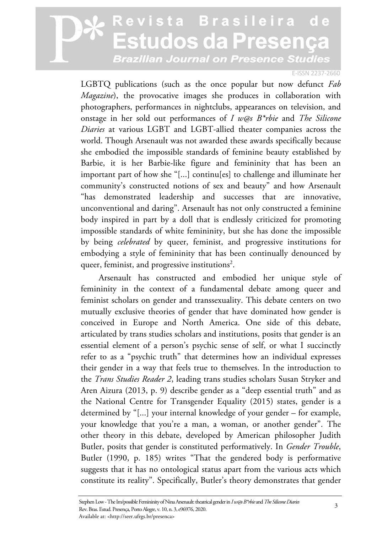#### E-ISSN 2237-2660

LGBTQ publications (such as the once popular but now defunct *Fab Magazine*), the provocative images she produces in collaboration with photographers, performances in nightclubs, appearances on television, and onstage in her sold out performances of *I w@s B\*rbie* and *The Silicone Diaries* at various LGBT and LGBT-allied theater companies across the world. Though Arsenault was not awarded these awards specifically because she embodied the impossible standards of feminine beauty established by Barbie, it is her Barbie-like figure and femininity that has been an important part of how she "[...] continu[es] to challenge and illuminate her community's constructed notions of sex and beauty" and how Arsenault "has demonstrated leadership and successes that are innovative, unconventional and daring". Arsenault has not only constructed a feminine body inspired in part by a doll that is endlessly criticized for promoting impossible standards of white femininity, but she has done the impossible by being *celebrated* by queer, feminist, and progressive institutions for embodying a style of femininity that has been continually denounced by queer, feminist, and progressive institutions<sup>2</sup>.

Arsenault has constructed and embodied her unique style of femininity in the context of a fundamental debate among queer and feminist scholars on gender and transsexuality. This debate centers on two mutually exclusive theories of gender that have dominated how gender is conceived in Europe and North America. One side of this debate, articulated by trans studies scholars and institutions, posits that gender is an essential element of a person's psychic sense of self, or what I succinctly refer to as a "psychic truth" that determines how an individual expresses their gender in a way that feels true to themselves. In the introduction to the *Trans Studies Reader 2*, leading trans studies scholars Susan Stryker and Aren Aizura (2013, p. 9) describe gender as a "deep essential truth" and as the National Centre for Transgender Equality (2015) states, gender is a determined by "[...] your internal knowledge of your gender – for example, your knowledge that you're a man, a woman, or another gender". The other theory in this debate, developed by American philosopher Judith Butler, posits that gender is constituted performatively. In *Gender Trouble*, Butler (1990, p. 185) writes "That the gendered body is performative suggests that it has no ontological status apart from the various acts which constitute its reality". Specifically, Butler's theory demonstrates that gender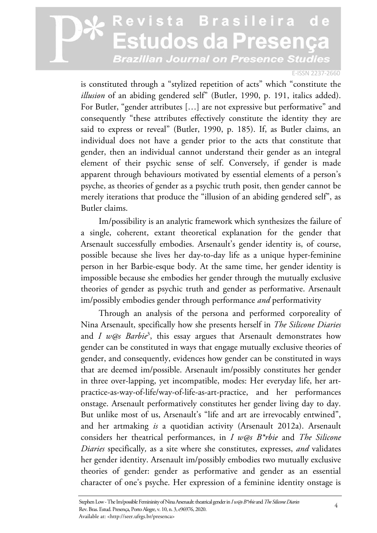#### E-ISSN 2237-2660

is constituted through a "stylized repetition of acts" which "constitute the *illusion* of an abiding gendered self" (Butler, 1990, p. 191, italics added). For Butler, "gender attributes […] are not expressive but performative" and consequently "these attributes effectively constitute the identity they are said to express or reveal" (Butler, 1990, p. 185). If, as Butler claims, an individual does not have a gender prior to the acts that constitute that gender, then an individual cannot understand their gender as an integral element of their psychic sense of self. Conversely, if gender is made apparent through behaviours motivated by essential elements of a person's psyche, as theories of gender as a psychic truth posit, then gender cannot be merely iterations that produce the "illusion of an abiding gendered self", as Butler claims.

Im/possibility is an analytic framework which synthesizes the failure of a single, coherent, extant theoretical explanation for the gender that Arsenault successfully embodies. Arsenault's gender identity is, of course, possible because she lives her day-to-day life as a unique hyper-feminine person in her Barbie-esque body. At the same time, her gender identity is impossible because she embodies her gender through the mutually exclusive theories of gender as psychic truth and gender as performative. Arsenault im/possibly embodies gender through performance *and* performativity

Through an analysis of the persona and performed corporeality of Nina Arsenault, specifically how she presents herself in *The Silicone Diaries*  and *I w@s Barbie*<sup>3</sup> , this essay argues that Arsenault demonstrates how gender can be constituted in ways that engage mutually exclusive theories of gender, and consequently, evidences how gender can be constituted in ways that are deemed im/possible. Arsenault im/possibly constitutes her gender in three over-lapping, yet incompatible, modes: Her everyday life, her artpractice-as-way-of-life/way-of-life-as-art-practice, and her performances onstage. Arsenault performatively constitutes her gender living day to day. But unlike most of us, Arsenault's "life and art are irrevocably entwined", and her artmaking *is* a quotidian activity (Arsenault 2012a). Arsenault considers her theatrical performances, in *I w@s B\*rbie* and *The Silicone Diaries* specifically*,* as a site where she constitutes, expresses, *and* validates her gender identity. Arsenault im/possibly embodies two mutually exclusive theories of gender: gender as performative and gender as an essential character of one's psyche. Her expression of a feminine identity onstage is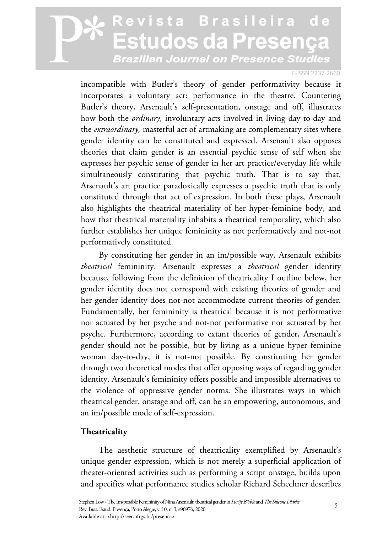#### E-ISSN 2237-2660

incompatible with Butler's theory of gender performativity because it incorporates a voluntary act: performance in the theatre. Countering Butler's theory, Arsenault's self-presentation, onstage and off, illustrates how both the *ordinary*, involuntary acts involved in living day-to-day and the *extraordinary,* masterful act of artmaking are complementary sites where gender identity can be constituted and expressed. Arsenault also opposes theories that claim gender is an essential psychic sense of self when she expresses her psychic sense of gender in her art practice/everyday life while simultaneously constituting that psychic truth. That is to say that, Arsenault's art practice paradoxically expresses a psychic truth that is only constituted through that act of expression. In both these plays, Arsenault also highlights the theatrical materiality of her hyper-feminine body, and how that theatrical materiality inhabits a theatrical temporality, which also further establishes her unique femininity as not performatively and not-not performatively constituted.

By constituting her gender in an im/possible way, Arsenault exhibits *theatrical* femininity. Arsenault expresses a *theatrical* gender identity because, following from the definition of theatricality I outline below, her gender identity does not correspond with existing theories of gender and her gender identity does not-not accommodate current theories of gender. Fundamentally, her femininity is theatrical because it is not performative nor actuated by her psyche and not-not performative nor actuated by her psyche. Furthermore, according to extant theories of gender, Arsenault's gender should not be possible, but by living as a unique hyper feminine woman day-to-day, it is not-not possible. By constituting her gender through two theoretical modes that offer opposing ways of regarding gender identity, Arsenault's femininity offers possible and impossible alternatives to the violence of oppressive gender norms. She illustrates ways in which theatrical gender, onstage and off, can be an empowering, autonomous, and an im/possible mode of self-expression.

### **Theatricality**

The aesthetic structure of theatricality exemplified by Arsenault's unique gender expression, which is not merely a superficial application of theater-oriented activities such as performing a script onstage, builds upon and specifies what performance studies scholar Richard Schechner describes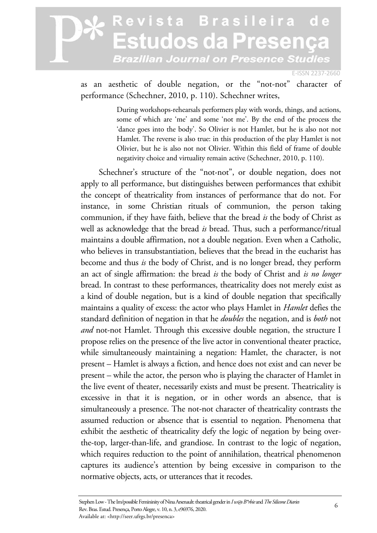E-ISSN 2237-2660

as an aesthetic of double negation, or the "not-not" character of performance (Schechner, 2010, p. 110). Schechner writes,

> During workshops-rehearsals performers play with words, things, and actions, some of which are 'me' and some 'not me'. By the end of the process the 'dance goes into the body'. So Olivier is not Hamlet, but he is also not not Hamlet. The reverse is also true: in this production of the play Hamlet is not Olivier, but he is also not not Olivier. Within this field of frame of double negativity choice and virtuality remain active (Schechner, 2010, p. 110).

Schechner's structure of the "not-not", or double negation, does not apply to all performance, but distinguishes between performances that exhibit the concept of theatricality from instances of performance that do not. For instance, in some Christian rituals of communion, the person taking communion, if they have faith, believe that the bread *is* the body of Christ as well as acknowledge that the bread *is* bread. Thus, such a performance/ritual maintains a double affirmation, not a double negation. Even when a Catholic, who believes in transubstantiation, believes that the bread in the eucharist has become and thus *is* the body of Christ, and is no longer bread, they perform an act of single affirmation: the bread *is* the body of Christ and *is no longer*  bread. In contrast to these performances, theatricality does not merely exist as a kind of double negation, but is a kind of double negation that specifically maintains a quality of excess: the actor who plays Hamlet in *Hamlet* defies the standard definition of negation in that he *doubles* the negation, and is *both* not *and* not-not Hamlet. Through this excessive double negation, the structure I propose relies on the presence of the live actor in conventional theater practice, while simultaneously maintaining a negation: Hamlet, the character, is not present – Hamlet is always a fiction, and hence does not exist and can never be present – while the actor, the person who is playing the character of Hamlet in the live event of theater, necessarily exists and must be present. Theatricality is excessive in that it is negation, or in other words an absence, that is simultaneously a presence. The not-not character of theatricality contrasts the assumed reduction or absence that is essential to negation. Phenomena that exhibit the aesthetic of theatricality defy the logic of negation by being overthe-top, larger-than-life, and grandiose. In contrast to the logic of negation, which requires reduction to the point of annihilation, theatrical phenomenon captures its audience's attention by being excessive in comparison to the normative objects, acts, or utterances that it recodes.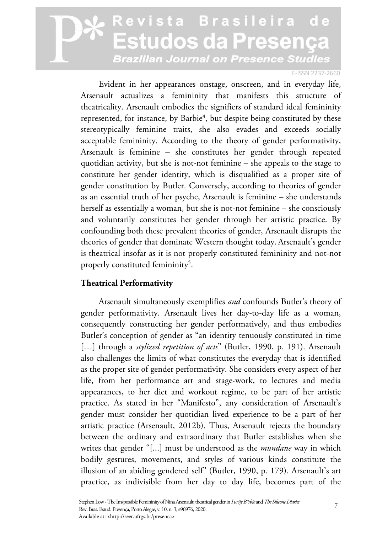#### E-ISSN 2237-2660

Evident in her appearances onstage, onscreen, and in everyday life, Arsenault actualizes a femininity that manifests this structure of theatricality. Arsenault embodies the signifiers of standard ideal femininity represented, for instance, by Barbie<sup>4</sup>, but despite being constituted by these stereotypically feminine traits, she also evades and exceeds socially acceptable femininity. According to the theory of gender performativity, Arsenault is feminine – she constitutes her gender through repeated quotidian activity, but she is not-not feminine – she appeals to the stage to constitute her gender identity, which is disqualified as a proper site of gender constitution by Butler. Conversely, according to theories of gender as an essential truth of her psyche, Arsenault is feminine – she understands herself as essentially a woman, but she is not-not feminine – she consciously and voluntarily constitutes her gender through her artistic practice. By confounding both these prevalent theories of gender, Arsenault disrupts the theories of gender that dominate Western thought today. Arsenault's gender is theatrical insofar as it is not properly constituted femininity and not-not properly constituted femininity<sup>5</sup>.

### **Theatrical Performativity**

Arsenault simultaneously exemplifies *and* confounds Butler's theory of gender performativity. Arsenault lives her day-to-day life as a woman, consequently constructing her gender performatively, and thus embodies Butler's conception of gender as "an identity tenuously constituted in time [...] through a *stylized repetition of acts*" (Butler, 1990, p. 191). Arsenault also challenges the limits of what constitutes the everyday that is identified as the proper site of gender performativity. She considers every aspect of her life, from her performance art and stage-work, to lectures and media appearances, to her diet and workout regime, to be part of her artistic practice. As stated in her "Manifesto", any consideration of Arsenault's gender must consider her quotidian lived experience to be a part of her artistic practice (Arsenault, 2012b). Thus, Arsenault rejects the boundary between the ordinary and extraordinary that Butler establishes when she writes that gender "[...] must be understood as the *mundane* way in which bodily gestures, movements, and styles of various kinds constitute the illusion of an abiding gendered self" (Butler, 1990, p. 179). Arsenault's art practice, as indivisible from her day to day life, becomes part of the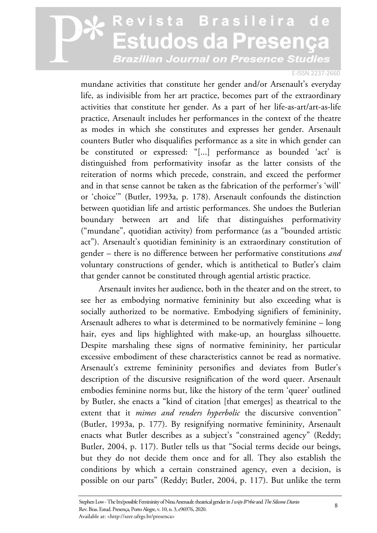#### E-ISSN 2237-2660

mundane activities that constitute her gender and/or Arsenault's everyday life, as indivisible from her art practice, becomes part of the extraordinary activities that constitute her gender. As a part of her life-as-art/art-as-life practice, Arsenault includes her performances in the context of the theatre as modes in which she constitutes and expresses her gender. Arsenault counters Butler who disqualifies performance as a site in which gender can be constituted or expressed: "[...] performance as bounded 'act' is distinguished from performativity insofar as the latter consists of the reiteration of norms which precede, constrain, and exceed the performer and in that sense cannot be taken as the fabrication of the performer's 'will' or 'choice'" (Butler, 1993a, p. 178). Arsenault confounds the distinction between quotidian life and artistic performances. She undoes the Butlerian boundary between art and life that distinguishes performativity ("mundane", quotidian activity) from performance (as a "bounded artistic act"). Arsenault's quotidian femininity is an extraordinary constitution of gender – there is no difference between her performative constitutions *and* voluntary constructions of gender, which is antithetical to Butler's claim that gender cannot be constituted through agential artistic practice.

Arsenault invites her audience, both in the theater and on the street, to see her as embodying normative femininity but also exceeding what is socially authorized to be normative. Embodying signifiers of femininity, Arsenault adheres to what is determined to be normatively feminine – long hair, eyes and lips highlighted with make-up, an hourglass silhouette. Despite marshaling these signs of normative femininity, her particular excessive embodiment of these characteristics cannot be read as normative. Arsenault's extreme femininity personifies and deviates from Butler's description of the discursive resignification of the word queer. Arsenault embodies feminine norms but, like the history of the term 'queer' outlined by Butler, she enacts a "kind of citation [that emerges] as theatrical to the extent that it *mimes and renders hyperbolic* the discursive convention" (Butler, 1993a, p. 177). By resignifying normative femininity, Arsenault enacts what Butler describes as a subject's "constrained agency" (Reddy; Butler, 2004, p. 117). Butler tells us that "Social terms decide our beings, but they do not decide them once and for all. They also establish the conditions by which a certain constrained agency, even a decision, is possible on our parts" (Reddy; Butler, 2004, p. 117). But unlike the term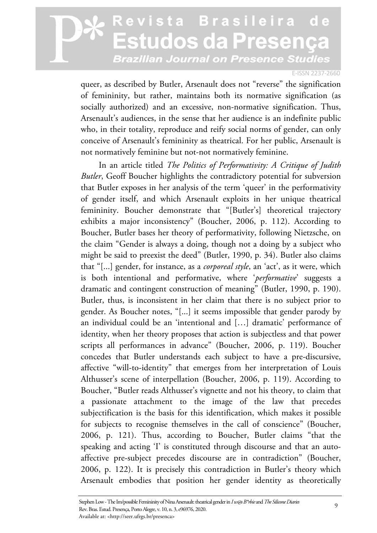#### E-ISSN 2237-2660

queer, as described by Butler, Arsenault does not "reverse" the signification of femininity, but rather, maintains both its normative signification (as socially authorized) and an excessive, non-normative signification. Thus, Arsenault's audiences, in the sense that her audience is an indefinite public who, in their totality, reproduce and reify social norms of gender, can only conceive of Arsenault's femininity as theatrical. For her public, Arsenault is not normatively feminine but not-not normatively feminine.

In an article titled *The Politics of Performativity: A Critique of Judith Butler*, Geoff Boucher highlights the contradictory potential for subversion that Butler exposes in her analysis of the term 'queer' in the performativity of gender itself, and which Arsenault exploits in her unique theatrical femininity. Boucher demonstrate that "[Butler's] theoretical trajectory exhibits a major inconsistency" (Boucher, 2006, p. 112). According to Boucher, Butler bases her theory of performativity, following Nietzsche, on the claim "Gender is always a doing, though not a doing by a subject who might be said to preexist the deed" (Butler, 1990, p. 34). Butler also claims that "[...] gender, for instance, as a *corporeal style*, an 'act', as it were, which is both intentional and performative, where '*performative*' suggests a dramatic and contingent construction of meaning" (Butler, 1990, p. 190). Butler, thus, is inconsistent in her claim that there is no subject prior to gender. As Boucher notes, "[...] it seems impossible that gender parody by an individual could be an 'intentional and […] dramatic' performance of identity, when her theory proposes that action is subjectless and that power scripts all performances in advance" (Boucher, 2006, p. 119). Boucher concedes that Butler understands each subject to have a pre-discursive, affective "will-to-identity" that emerges from her interpretation of Louis Althusser's scene of interpellation (Boucher, 2006, p. 119). According to Boucher, "Butler reads Althusser's vignette and not his theory, to claim that a passionate attachment to the image of the law that precedes subjectification is the basis for this identification, which makes it possible for subjects to recognise themselves in the call of conscience" (Boucher, 2006, p. 121). Thus, according to Boucher, Butler claims "that the speaking and acting 'I' is constituted through discourse and that an autoaffective pre-subject precedes discourse are in contradiction" (Boucher, 2006, p. 122). It is precisely this contradiction in Butler's theory which Arsenault embodies that position her gender identity as theoretically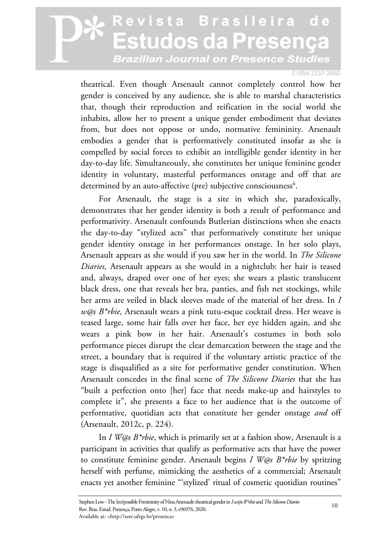#### E-ISSN 2237-2660

theatrical. Even though Arsenault cannot completely control how her gender is conceived by any audience, she is able to marshal characteristics that, though their reproduction and reification in the social world she inhabits, allow her to present a unique gender embodiment that deviates from, but does not oppose or undo, normative femininity. Arsenault embodies a gender that is performatively constituted insofar as she is compelled by social forces to exhibit an intelligible gender identity in her day-to-day life. Simultaneously, she constitutes her unique feminine gender identity in voluntary, masterful performances onstage and off that are determined by an auto-affective (pre) subjective consciousness<sup>6</sup>.

For Arsenault, the stage is a site in which she, paradoxically, demonstrates that her gender identity is both a result of performance and performativity. Arsenault confounds Butlerian distinctions when she enacts the day-to-day "stylized acts" that performatively constitute her unique gender identity onstage in her performances onstage. In her solo plays, Arsenault appears as she would if you saw her in the world. In *The Silicone Diaries,* Arsenault appears as she would in a nightclub: her hair is teased and, always, draped over one of her eyes; she wears a plastic translucent black dress, one that reveals her bra, panties, and fish net stockings, while her arms are veiled in black sleeves made of the material of her dress. In *I w@s B\*rbie,* Arsenault wears a pink tutu-esque cocktail dress. Her weave is teased large, some hair falls over her face, her eye hidden again, and she wears a pink bow in her hair. Arsenault's costumes in both solo performance pieces disrupt the clear demarcation between the stage and the street, a boundary that is required if the voluntary artistic practice of the stage is disqualified as a site for performative gender constitution. When Arsenault concedes in the final scene of *The Silicone Diaries* that she has "built a perfection onto [her] face that needs make-up and hairstyles to complete it", she presents a face to her audience that is the outcome of performative, quotidian acts that constitute her gender onstage *and* off (Arsenault, 2012c, p. 224).

In *I W@s B\*rbie*, which is primarily set at a fashion show, Arsenault is a participant in activities that qualify as performative acts that have the power to constitute feminine gender. Arsenault begins *I W@s B\*rbie* by spritzing herself with perfume, mimicking the aesthetics of a commercial; Arsenault enacts yet another feminine "'stylized' ritual of cosmetic quotidian routines"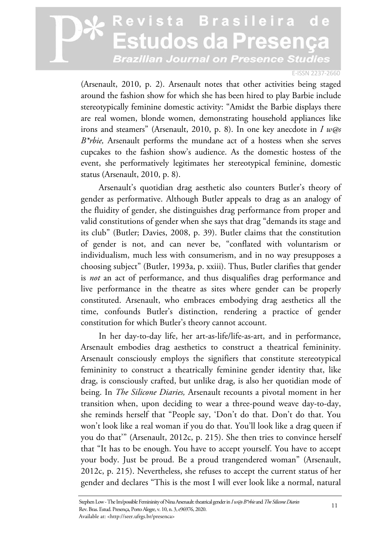#### E-ISSN 2237-2660

(Arsenault, 2010, p. 2). Arsenault notes that other activities being staged around the fashion show for which she has been hired to play Barbie include stereotypically feminine domestic activity: "Amidst the Barbie displays there are real women, blonde women, demonstrating household appliances like irons and steamers" (Arsenault, 2010, p. 8). In one key anecdote in *I w@s B\*rbie,* Arsenault performs the mundane act of a hostess when she serves cupcakes to the fashion show's audience. As the domestic hostess of the event, she performatively legitimates her stereotypical feminine, domestic status (Arsenault, 2010, p. 8).

Arsenault's quotidian drag aesthetic also counters Butler's theory of gender as performative. Although Butler appeals to drag as an analogy of the fluidity of gender, she distinguishes drag performance from proper and valid constitutions of gender when she says that drag "demands its stage and its club" (Butler; Davies, 2008, p. 39). Butler claims that the constitution of gender is not, and can never be, "conflated with voluntarism or individualism, much less with consumerism, and in no way presupposes a choosing subject" (Butler, 1993a, p. xxiii). Thus, Butler clarifies that gender is *not* an act of performance, and thus disqualifies drag performance and live performance in the theatre as sites where gender can be properly constituted. Arsenault, who embraces embodying drag aesthetics all the time, confounds Butler's distinction, rendering a practice of gender constitution for which Butler's theory cannot account.

In her day-to-day life, her art-as-life/life-as-art, and in performance, Arsenault embodies drag aesthetics to construct a theatrical femininity. Arsenault consciously employs the signifiers that constitute stereotypical femininity to construct a theatrically feminine gender identity that, like drag, is consciously crafted, but unlike drag, is also her quotidian mode of being. In *The Silicone Diaries,* Arsenault recounts a pivotal moment in her transition when, upon deciding to wear a three-pound weave day-to-day, she reminds herself that "People say, 'Don't do that. Don't do that. You won't look like a real woman if you do that. You'll look like a drag queen if you do that'" (Arsenault, 2012c, p. 215). She then tries to convince herself that "It has to be enough. You have to accept yourself. You have to accept your body. Just be proud. Be a proud trangendered woman" (Arsenault, 2012c, p. 215). Nevertheless, she refuses to accept the current status of her gender and declares "This is the most I will ever look like a normal, natural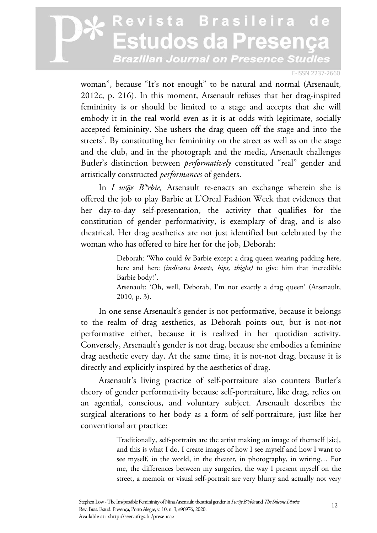#### E-ISSN 2237-2660

woman", because "It's not enough" to be natural and normal (Arsenault, 2012c, p. 216). In this moment, Arsenault refuses that her drag-inspired femininity is or should be limited to a stage and accepts that she will embody it in the real world even as it is at odds with legitimate, socially accepted femininity. She ushers the drag queen off the stage and into the streets<sup>7</sup>. By constituting her femininity on the street as well as on the stage and the club, and in the photograph and the media, Arsenault challenges Butler's distinction between *performatively* constituted "real" gender and artistically constructed *performances* of genders.

In *I w@s B\*rbie,* Arsenault re-enacts an exchange wherein she is offered the job to play Barbie at L'Oreal Fashion Week that evidences that her day-to-day self-presentation, the activity that qualifies for the constitution of gender performativity, is exemplary of drag, and is also theatrical. Her drag aesthetics are not just identified but celebrated by the woman who has offered to hire her for the job, Deborah:

> Deborah: 'Who could *be* Barbie except a drag queen wearing padding here, here and here *(indicates breasts, hips, thighs)* to give him that incredible Barbie body?'.

> Arsenault: 'Oh, well, Deborah, I'm not exactly a drag queen' (Arsenault, 2010, p. 3).

In one sense Arsenault's gender is not performative, because it belongs to the realm of drag aesthetics, as Deborah points out, but is not-not performative either, because it is realized in her quotidian activity. Conversely, Arsenault's gender is not drag, because she embodies a feminine drag aesthetic every day. At the same time, it is not-not drag, because it is directly and explicitly inspired by the aesthetics of drag.

Arsenault's living practice of self-portraiture also counters Butler's theory of gender performativity because self-portraiture, like drag, relies on an agential, conscious, and voluntary subject. Arsenault describes the surgical alterations to her body as a form of self-portraiture, just like her conventional art practice:

> Traditionally, self-portraits are the artist making an image of themself [sic], and this is what I do. I create images of how I see myself and how I want to see myself, in the world, in the theater, in photography, in writing… For me, the differences between my surgeries, the way I present myself on the street, a memoir or visual self-portrait are very blurry and actually not very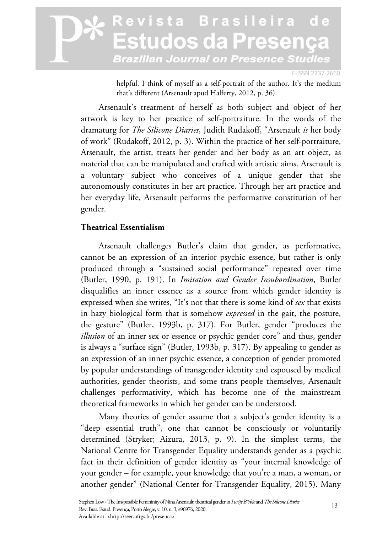E-ISSN 2237-2660

helpful. I think of myself as a self-portrait of the author. It's the medium that's different (Arsenault apud Halferty, 2012, p. 36).

Arsenault's treatment of herself as both subject and object of her artwork is key to her practice of self-portraiture. In the words of the dramaturg for *The Silicone Diaries*, Judith Rudakoff, "Arsenault *is* her body of work" (Rudakoff, 2012, p. 3). Within the practice of her self-portraiture, Arsenault, the artist, treats her gender and her body as an art object, as material that can be manipulated and crafted with artistic aims. Arsenault is a voluntary subject who conceives of a unique gender that she autonomously constitutes in her art practice. Through her art practice and her everyday life, Arsenault performs the performative constitution of her gender.

### **Theatrical Essentialism**

Arsenault challenges Butler's claim that gender, as performative, cannot be an expression of an interior psychic essence, but rather is only produced through a "sustained social performance" repeated over time (Butler, 1990, p. 191). In *Imitation and Gender Insubordination*, Butler disqualifies an inner essence as a source from which gender identity is expressed when she writes, "It's not that there is some kind of *sex* that exists in hazy biological form that is somehow *expressed* in the gait, the posture, the gesture" (Butler, 1993b, p. 317). For Butler, gender "produces the *illusion* of an inner sex or essence or psychic gender core" and thus, gender is always a "surface sign" (Butler, 1993b, p. 317). By appealing to gender as an expression of an inner psychic essence, a conception of gender promoted by popular understandings of transgender identity and espoused by medical authorities, gender theorists, and some trans people themselves, Arsenault challenges performativity, which has become one of the mainstream theoretical frameworks in which her gender can be understood.

Many theories of gender assume that a subject's gender identity is a "deep essential truth", one that cannot be consciously or voluntarily determined (Stryker; Aizura, 2013, p. 9). In the simplest terms, the National Centre for Transgender Equality understands gender as a psychic fact in their definition of gender identity as "your internal knowledge of your gender – for example, your knowledge that you're a man, a woman, or another gender" (National Center for Transgender Equality, 2015). Many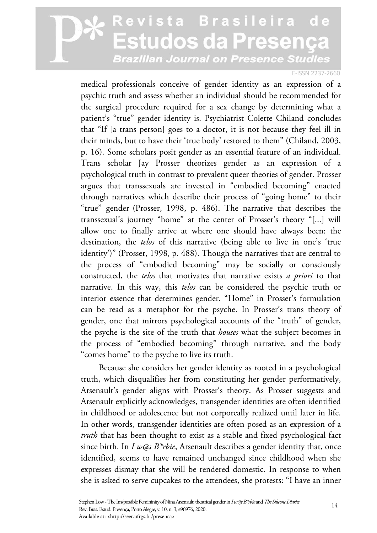#### E-ISSN 2237-2660

medical professionals conceive of gender identity as an expression of a psychic truth and assess whether an individual should be recommended for the surgical procedure required for a sex change by determining what a patient's "true" gender identity is. Psychiatrist Colette Chiland concludes that "If [a trans person] goes to a doctor, it is not because they feel ill in their minds, but to have their 'true body' restored to them" (Chiland, 2003, p. 16). Some scholars posit gender as an essential feature of an individual. Trans scholar Jay Prosser theorizes gender as an expression of a psychological truth in contrast to prevalent queer theories of gender. Prosser argues that transsexuals are invested in "embodied becoming" enacted through narratives which describe their process of "going home" to their "true" gender (Prosser, 1998, p. 486). The narrative that describes the transsexual's journey "home" at the center of Prosser's theory "[...] will allow one to finally arrive at where one should have always been: the destination, the *telos* of this narrative (being able to live in one's 'true identity')" (Prosser, 1998, p. 488). Though the narratives that are central to the process of "embodied becoming" may be socially or consciously constructed, the *telos* that motivates that narrative exists *a priori* to that narrative. In this way, this *telos* can be considered the psychic truth or interior essence that determines gender. "Home" in Prosser's formulation can be read as a metaphor for the psyche. In Prosser's trans theory of gender, one that mirrors psychological accounts of the "truth" of gender, the psyche is the site of the truth that *houses* what the subject becomes in the process of "embodied becoming" through narrative, and the body "comes home" to the psyche to live its truth.

Because she considers her gender identity as rooted in a psychological truth, which disqualifies her from constituting her gender performatively, Arsenault's gender aligns with Prosser's theory. As Prosser suggests and Arsenault explicitly acknowledges, transgender identities are often identified in childhood or adolescence but not corporeally realized until later in life. In other words, transgender identities are often posed as an expression of a *truth* that has been thought to exist as a stable and fixed psychological fact since birth. In *I w@s B\*rbie*, Arsenault describes a gender identity that, once identified, seems to have remained unchanged since childhood when she expresses dismay that she will be rendered domestic. In response to when she is asked to serve cupcakes to the attendees, she protests: "I have an inner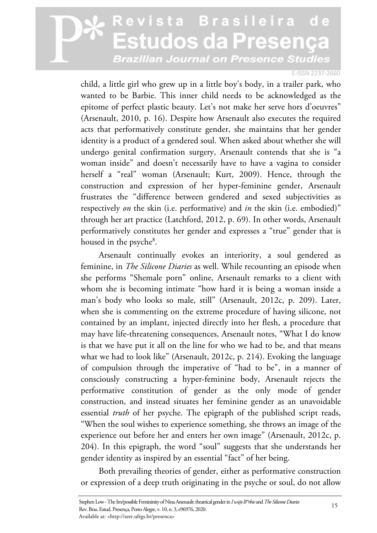#### E-ISSN 2237-2660

child, a little girl who grew up in a little boy's body, in a trailer park, who wanted to be Barbie. This inner child needs to be acknowledged as the epitome of perfect plastic beauty. Let's not make her serve hors d'oeuvres" (Arsenault, 2010, p. 16). Despite how Arsenault also executes the required acts that performatively constitute gender, she maintains that her gender identity is a product of a gendered soul. When asked about whether she will undergo genital confirmation surgery, Arsenault contends that she is "a woman inside" and doesn't necessarily have to have a vagina to consider herself a "real" woman (Arsenault; Kurt, 2009). Hence, through the construction and expression of her hyper-feminine gender, Arsenault frustrates the "difference between gendered and sexed subjectivities as respectively *on* the skin (i.e. performative) and *in* the skin (i.e. embodied)" through her art practice (Latchford, 2012, p. 69). In other words, Arsenault performatively constitutes her gender and expresses a "true" gender that is housed in the psyche<sup>8</sup>.

Arsenault continually evokes an interiority, a soul gendered as feminine, in *The Silicone Diaries* as well. While recounting an episode when she performs "Shemale porn" online, Arsenault remarks to a client with whom she is becoming intimate "how hard it is being a woman inside a man's body who looks so male, still" (Arsenault, 2012c, p. 209). Later, when she is commenting on the extreme procedure of having silicone, not contained by an implant, injected directly into her flesh, a procedure that may have life-threatening consequences, Arsenault notes, "What I do know is that we have put it all on the line for who we had to be, and that means what we had to look like" (Arsenault, 2012c, p. 214). Evoking the language of compulsion through the imperative of "had to be", in a manner of consciously constructing a hyper-feminine body, Arsenault rejects the performative constitution of gender as the only mode of gender construction, and instead situates her feminine gender as an unavoidable essential *truth* of her psyche. The epigraph of the published script reads, "When the soul wishes to experience something, she throws an image of the experience out before her and enters her own image" (Arsenault, 2012c, p. 204). In this epigraph, the word "soul" suggests that she understands her gender identity as inspired by an essential "fact" of her being.

Both prevailing theories of gender, either as performative construction or expression of a deep truth originating in the psyche or soul, do not allow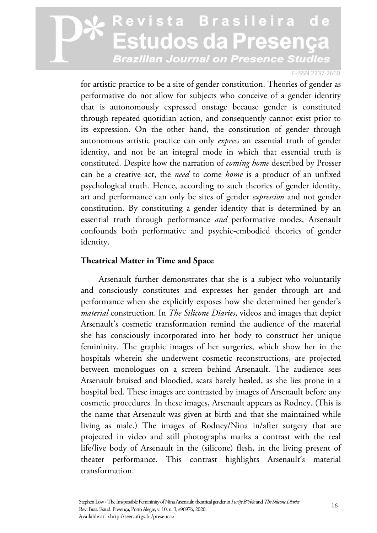#### E-ISSN 2237-2660

for artistic practice to be a site of gender constitution. Theories of gender as performative do not allow for subjects who conceive of a gender identity that is autonomously expressed onstage because gender is constituted through repeated quotidian action, and consequently cannot exist prior to its expression. On the other hand, the constitution of gender through autonomous artistic practice can only *express* an essential truth of gender identity, and not be an integral mode in which that essential truth is constituted. Despite how the narration of *coming home* described by Prosser can be a creative act, the *need* to come *home* is a product of an unfixed psychological truth. Hence, according to such theories of gender identity, art and performance can only be sites of gender *expression* and not gender constitution. By constituting a gender identity that is determined by an essential truth through performance *and* performative modes, Arsenault confounds both performative and psychic-embodied theories of gender identity.

### **Theatrical Matter in Time and Space**

Arsenault further demonstrates that she is a subject who voluntarily and consciously constitutes and expresses her gender through art and performance when she explicitly exposes how she determined her gender's *material* construction. In *The Silicone Diaries*, videos and images that depict Arsenault's cosmetic transformation remind the audience of the material she has consciously incorporated into her body to construct her unique femininity. The graphic images of her surgeries, which show her in the hospitals wherein she underwent cosmetic reconstructions, are projected between monologues on a screen behind Arsenault. The audience sees Arsenault bruised and bloodied, scars barely healed, as she lies prone in a hospital bed. These images are contrasted by images of Arsenault before any cosmetic procedures. In these images, Arsenault appears as Rodney. (This is the name that Arsenault was given at birth and that she maintained while living as male.) The images of Rodney/Nina in/after surgery that are projected in video and still photographs marks a contrast with the real life/live body of Arsenault in the (silicone) flesh, in the living present of theater performance. This contrast highlights Arsenault's material transformation.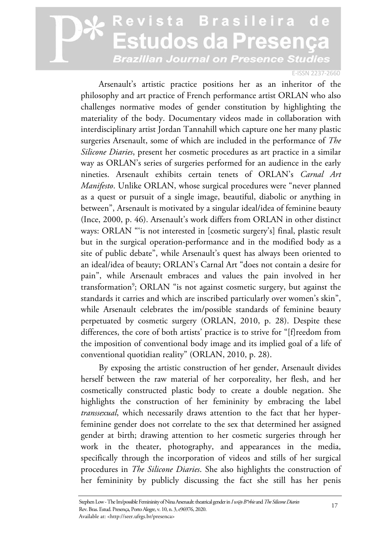#### E-ISSN 2237-2660

Arsenault's artistic practice positions her as an inheritor of the philosophy and art practice of French performance artist ORLAN who also challenges normative modes of gender constitution by highlighting the materiality of the body. Documentary videos made in collaboration with interdisciplinary artist Jordan Tannahill which capture one her many plastic surgeries Arsenault, some of which are included in the performance of *The Silicone Diaries*, present her cosmetic procedures as art practice in a similar way as ORLAN's series of surgeries performed for an audience in the early nineties. Arsenault exhibits certain tenets of ORLAN's *Carnal Art Manifesto*. Unlike ORLAN, whose surgical procedures were "never planned as a quest or pursuit of a single image, beautiful, diabolic or anything in between", Arsenault is motivated by a singular ideal/idea of feminine beauty (Ince, 2000, p. 46). Arsenault's work differs from ORLAN in other distinct ways: ORLAN "'is not interested in [cosmetic surgery's] final, plastic result but in the surgical operation-performance and in the modified body as a site of public debate", while Arsenault's quest has always been oriented to an ideal/idea of beauty; ORLAN's Carnal Art "does not contain a desire for pain", while Arsenault embraces and values the pain involved in her transformation<sup>9</sup>; ORLAN "is not against cosmetic surgery, but against the standards it carries and which are inscribed particularly over women's skin", while Arsenault celebrates the im/possible standards of feminine beauty perpetuated by cosmetic surgery (ORLAN, 2010, p. 28). Despite these differences, the core of both artists' practice is to strive for "[f]reedom from the imposition of conventional body image and its implied goal of a life of conventional quotidian reality" (ORLAN, 2010, p. 28).

By exposing the artistic construction of her gender, Arsenault divides herself between the raw material of her corporeality, her flesh, and her cosmetically constructed plastic body to create a double negation. She highlights the construction of her femininity by embracing the label *transsexual*, which necessarily draws attention to the fact that her hyperfeminine gender does not correlate to the sex that determined her assigned gender at birth; drawing attention to her cosmetic surgeries through her work in the theater, photography, and appearances in the media, specifically through the incorporation of videos and stills of her surgical procedures in *The Silicone Diaries*. She also highlights the construction of her femininity by publicly discussing the fact she still has her penis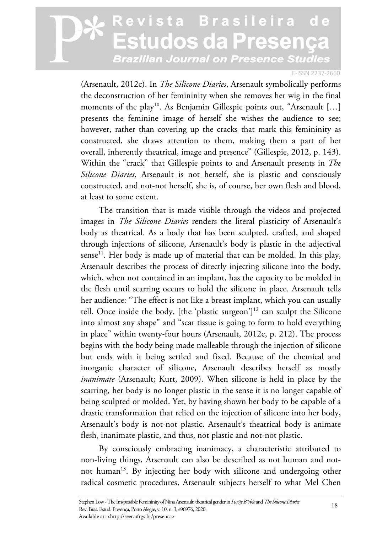#### E-ISSN 2237-2660

(Arsenault, 2012c). In *The Silicone Diaries*, Arsenault symbolically performs the deconstruction of her femininity when she removes her wig in the final moments of the play<sup>10</sup>. As Benjamin Gillespie points out, "Arsenault [...] presents the feminine image of herself she wishes the audience to see; however, rather than covering up the cracks that mark this femininity as constructed, she draws attention to them, making them a part of her overall, inherently theatrical, image and presence" (Gillespie, 2012, p. 143). Within the "crack" that Gillespie points to and Arsenault presents in *The Silicone Diaries,* Arsenault is not herself, she is plastic and consciously constructed, and not-not herself, she is, of course, her own flesh and blood, at least to some extent.

The transition that is made visible through the videos and projected images in *The Silicone Diaries* renders the literal plasticity of Arsenault's body as theatrical. As a body that has been sculpted, crafted, and shaped through injections of silicone, Arsenault's body is plastic in the adjectival sense<sup>11</sup>. Her body is made up of material that can be molded. In this play, Arsenault describes the process of directly injecting silicone into the body, which, when not contained in an implant, has the capacity to be molded in the flesh until scarring occurs to hold the silicone in place. Arsenault tells her audience: "The effect is not like a breast implant, which you can usually tell. Once inside the body, [the 'plastic surgeon']<sup>12</sup> can sculpt the Silicone into almost any shape" and "scar tissue is going to form to hold everything in place" within twenty-four hours (Arsenault, 2012c, p. 212). The process begins with the body being made malleable through the injection of silicone but ends with it being settled and fixed. Because of the chemical and inorganic character of silicone, Arsenault describes herself as mostly *inanimate* (Arsenault; Kurt, 2009). When silicone is held in place by the scarring, her body is no longer plastic in the sense it is no longer capable of being sculpted or molded. Yet, by having shown her body to be capable of a drastic transformation that relied on the injection of silicone into her body, Arsenault's body is not-not plastic. Arsenault's theatrical body is animate flesh, inanimate plastic, and thus, not plastic and not-not plastic.

By consciously embracing inanimacy, a characteristic attributed to non-living things, Arsenault can also be described as not human and notnot human<sup>13</sup>. By injecting her body with silicone and undergoing other radical cosmetic procedures, Arsenault subjects herself to what Mel Chen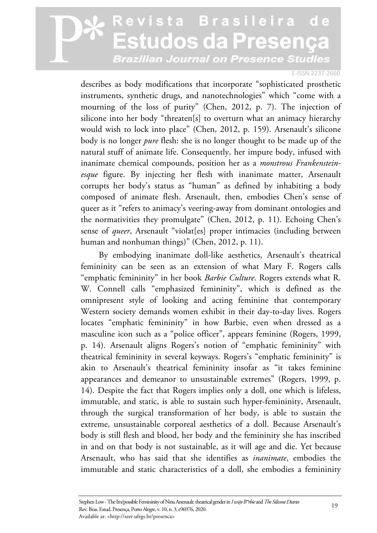#### E-ISSN 2237-2660

describes as body modifications that incorporate "sophisticated prosthetic instruments, synthetic drugs, and nanotechnologies" which "come with a mourning of the loss of purity" (Chen, 2012, p. 7). The injection of silicone into her body "threaten[s] to overturn what an animacy hierarchy would wish to lock into place" (Chen, 2012, p. 159). Arsenault's silicone body is no longer *pure* flesh: she is no longer thought to be made up of the natural stuff of animate life. Consequently, her impure body, infused with inanimate chemical compounds, position her as a *monstrous Frankensteinesque* figure. By injecting her flesh with inanimate matter, Arsenault corrupts her body's status as "human" as defined by inhabiting a body composed of animate flesh. Arsenault, then, embodies Chen's sense of queer as it "refers to animacy's veering-away from dominant ontologies and the normativities they promulgate" (Chen, 2012, p. 11). Echoing Chen's sense of *queer*, Arsenault "violat[es] proper intimacies (including between human and nonhuman things)" (Chen, 2012, p. 11).

By embodying inanimate doll-like aesthetics, Arsenault's theatrical femininity can be seen as an extension of what Mary F. Rogers calls "emphatic femininity" in her book *Barbie Culture*. Rogers extends what R. W. Connell calls "emphasized femininity", which is defined as the omnipresent style of looking and acting feminine that contemporary Western society demands women exhibit in their day-to-day lives. Rogers locates "emphatic femininity" in how Barbie, even when dressed as a masculine icon such as a "police officer", appears feminine (Rogers, 1999, p. 14). Arsenault aligns Rogers's notion of "emphatic femininity" with theatrical femininity in several keyways. Rogers's "emphatic femininity" is akin to Arsenault's theatrical femininity insofar as "it takes feminine appearances and demeanor to unsustainable extremes" (Rogers, 1999, p. 14). Despite the fact that Rogers implies only a doll, one which is lifeless, immutable, and static, is able to sustain such hyper-femininity, Arsenault, through the surgical transformation of her body, is able to sustain the extreme, unsustainable corporeal aesthetics of a doll. Because Arsenault's body is still flesh and blood, her body and the femininity she has inscribed in and on that body is not sustainable, as it will age and die. Yet because Arsenault, who has said that she identifies as *inanimate*, embodies the immutable and static characteristics of a doll, she embodies a femininity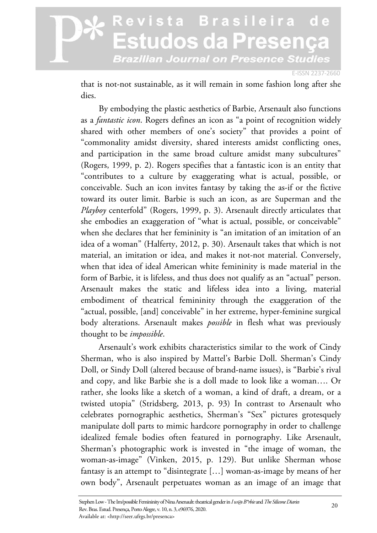#### E-ISSN 2237-2660

that is not-not sustainable, as it will remain in some fashion long after she dies.

By embodying the plastic aesthetics of Barbie, Arsenault also functions as a *fantastic icon*. Rogers defines an icon as "a point of recognition widely shared with other members of one's society" that provides a point of "commonality amidst diversity, shared interests amidst conflicting ones, and participation in the same broad culture amidst many subcultures" (Rogers, 1999, p. 2). Rogers specifies that a fantastic icon is an entity that "contributes to a culture by exaggerating what is actual, possible, or conceivable. Such an icon invites fantasy by taking the as-if or the fictive toward its outer limit. Barbie is such an icon, as are Superman and the *Playboy* centerfold" (Rogers, 1999, p. 3). Arsenault directly articulates that she embodies an exaggeration of "what is actual, possible, or conceivable" when she declares that her femininity is "an imitation of an imitation of an idea of a woman" (Halferty, 2012, p. 30). Arsenault takes that which is not material, an imitation or idea, and makes it not-not material. Conversely, when that idea of ideal American white femininity is made material in the form of Barbie, it is lifeless, and thus does not qualify as an "actual" person. Arsenault makes the static and lifeless idea into a living, material embodiment of theatrical femininity through the exaggeration of the "actual, possible, [and] conceivable" in her extreme, hyper-feminine surgical body alterations. Arsenault makes *possible* in flesh what was previously thought to be *impossible*.

Arsenault's work exhibits characteristics similar to the work of Cindy Sherman, who is also inspired by Mattel's Barbie Doll. Sherman's Cindy Doll, or Sindy Doll (altered because of brand-name issues), is "Barbie's rival and copy, and like Barbie she is a doll made to look like a woman…. Or rather, she looks like a sketch of a woman, a kind of draft, a dream, or a twisted utopia" (Stridsberg, 2013, p. 93) In contrast to Arsenault who celebrates pornographic aesthetics, Sherman's "Sex" pictures grotesquely manipulate doll parts to mimic hardcore pornography in order to challenge idealized female bodies often featured in pornography. Like Arsenault, Sherman's photographic work is invested in "the image of woman, the woman-as-image" (Vinken, 2015, p. 129). But unlike Sherman whose fantasy is an attempt to "disintegrate […] woman-as-image by means of her own body", Arsenault perpetuates woman as an image of an image that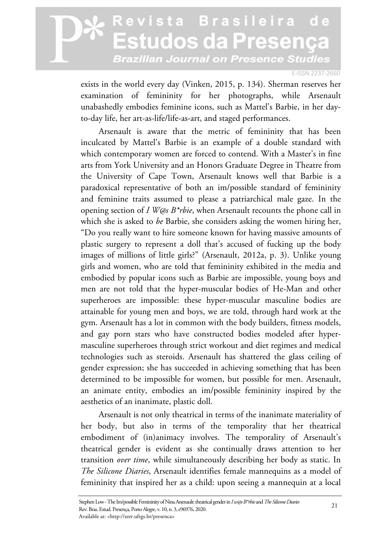#### E-ISSN 2237-2660

exists in the world every day (Vinken, 2015, p. 134). Sherman reserves her examination of femininity for her photographs, while Arsenault unabashedly embodies feminine icons, such as Mattel's Barbie, in her dayto-day life, her art-as-life/life-as-art, and staged performances.

Arsenault is aware that the metric of femininity that has been inculcated by Mattel's Barbie is an example of a double standard with which contemporary women are forced to contend. With a Master's in fine arts from York University and an Honors Graduate Degree in Theatre from the University of Cape Town, Arsenault knows well that Barbie is a paradoxical representative of both an im/possible standard of femininity and feminine traits assumed to please a patriarchical male gaze. In the opening section of *I W@s B\*rbie*, when Arsenault recounts the phone call in which she is asked to *be* Barbie, she considers asking the women hiring her, "Do you really want to hire someone known for having massive amounts of plastic surgery to represent a doll that's accused of fucking up the body images of millions of little girls?" (Arsenault, 2012a, p. 3). Unlike young girls and women, who are told that femininity exhibited in the media and embodied by popular icons such as Barbie are impossible, young boys and men are not told that the hyper-muscular bodies of He-Man and other superheroes are impossible: these hyper-muscular masculine bodies are attainable for young men and boys, we are told, through hard work at the gym. Arsenault has a lot in common with the body builders, fitness models, and gay porn stars who have constructed bodies modeled after hypermasculine superheroes through strict workout and diet regimes and medical technologies such as steroids. Arsenault has shattered the glass ceiling of gender expression; she has succeeded in achieving something that has been determined to be impossible for women, but possible for men. Arsenault, an animate entity, embodies an im/possible femininity inspired by the aesthetics of an inanimate, plastic doll.

Arsenault is not only theatrical in terms of the inanimate materiality of her body, but also in terms of the temporality that her theatrical embodiment of (in)animacy involves. The temporality of Arsenault's theatrical gender is evident as she continually draws attention to her transition *over time*, while simultaneously describing her body as static. In *The Silicone Diaries*, Arsenault identifies female mannequins as a model of femininity that inspired her as a child: upon seeing a mannequin at a local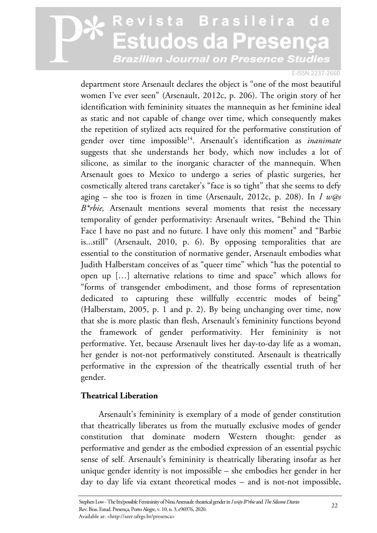#### E-ISSN 2237-2660

department store Arsenault declares the object is "one of the most beautiful women I've ever seen" (Arsenault, 2012c, p. 206). The origin story of her identification with femininity situates the mannequin as her feminine ideal as static and not capable of change over time, which consequently makes the repetition of stylized acts required for the performative constitution of gender over time impossible14. Arsenault's identification as *inanimate* suggests that she understands her body, which now includes a lot of silicone, as similar to the inorganic character of the mannequin. When Arsenault goes to Mexico to undergo a series of plastic surgeries, her cosmetically altered trans caretaker's "face is so tight" that she seems to defy aging – she too is frozen in time (Arsenault, 2012c, p. 208). In *I w@s B\*rbie,* Arsenault mentions several moments that resist the necessary temporality of gender performativity: Arsenault writes, "Behind the Thin Face I have no past and no future. I have only this moment" and "Barbie is...still" (Arsenault, 2010, p. 6). By opposing temporalities that are essential to the constitution of normative gender, Arsenault embodies what Judith Halberstam conceives of as "queer time" which "has the potential to open up […] alternative relations to time and space" which allows for "forms of transgender embodiment, and those forms of representation dedicated to capturing these willfully eccentric modes of being" (Halberstam, 2005, p. 1 and p. 2). By being unchanging over time, now that she is more plastic than flesh, Arsenault's femininity functions beyond the framework of gender performativity. Her femininity is not performative. Yet, because Arsenault lives her day-to-day life as a woman, her gender is not-not performatively constituted. Arsenault is theatrically performative in the expression of the theatrically essential truth of her gender.

### **Theatrical Liberation**

Arsenault's femininity is exemplary of a mode of gender constitution that theatrically liberates us from the mutually exclusive modes of gender constitution that dominate modern Western thought: gender as performative and gender as the embodied expression of an essential psychic sense of self. Arsenault's femininity is theatrically liberating insofar as her unique gender identity is not impossible – she embodies her gender in her day to day life via extant theoretical modes – and is not-not impossible,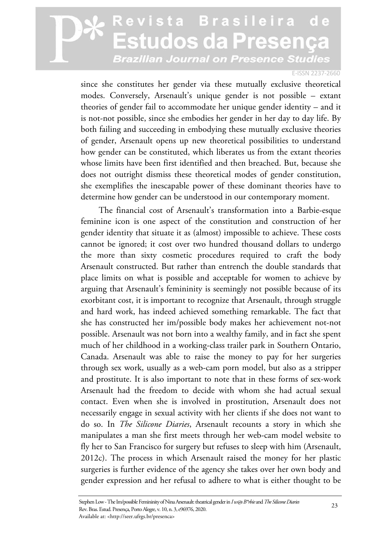#### E-ISSN 2237-2660

since she constitutes her gender via these mutually exclusive theoretical modes. Conversely, Arsenault's unique gender is not possible – extant theories of gender fail to accommodate her unique gender identity – and it is not-not possible, since she embodies her gender in her day to day life. By both failing and succeeding in embodying these mutually exclusive theories of gender, Arsenault opens up new theoretical possibilities to understand how gender can be constituted, which liberates us from the extant theories whose limits have been first identified and then breached. But, because she does not outright dismiss these theoretical modes of gender constitution, she exemplifies the inescapable power of these dominant theories have to determine how gender can be understood in our contemporary moment.

The financial cost of Arsenault's transformation into a Barbie-esque feminine icon is one aspect of the constitution and construction of her gender identity that situate it as (almost) impossible to achieve. These costs cannot be ignored; it cost over two hundred thousand dollars to undergo the more than sixty cosmetic procedures required to craft the body Arsenault constructed. But rather than entrench the double standards that place limits on what is possible and acceptable for women to achieve by arguing that Arsenault's femininity is seemingly not possible because of its exorbitant cost, it is important to recognize that Arsenault, through struggle and hard work, has indeed achieved something remarkable. The fact that she has constructed her im/possible body makes her achievement not-not possible. Arsenault was not born into a wealthy family, and in fact she spent much of her childhood in a working-class trailer park in Southern Ontario, Canada. Arsenault was able to raise the money to pay for her surgeries through sex work, usually as a web-cam porn model, but also as a stripper and prostitute. It is also important to note that in these forms of sex-work Arsenault had the freedom to decide with whom she had actual sexual contact. Even when she is involved in prostitution, Arsenault does not necessarily engage in sexual activity with her clients if she does not want to do so. In *The Silicone Diaries*, Arsenault recounts a story in which she manipulates a man she first meets through her web-cam model website to fly her to San Francisco for surgery but refuses to sleep with him (Arsenault, 2012c). The process in which Arsenault raised the money for her plastic surgeries is further evidence of the agency she takes over her own body and gender expression and her refusal to adhere to what is either thought to be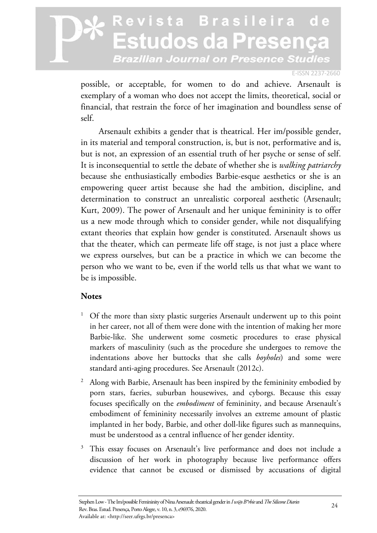#### E-ISSN 2237-2660

possible, or acceptable, for women to do and achieve. Arsenault is exemplary of a woman who does not accept the limits, theoretical, social or financial, that restrain the force of her imagination and boundless sense of self.

Arsenault exhibits a gender that is theatrical. Her im/possible gender, in its material and temporal construction, is, but is not, performative and is, but is not, an expression of an essential truth of her psyche or sense of self. It is inconsequential to settle the debate of whether she is *walking patriarchy* because she enthusiastically embodies Barbie-esque aesthetics or she is an empowering queer artist because she had the ambition, discipline, and determination to construct an unrealistic corporeal aesthetic (Arsenault; Kurt, 2009). The power of Arsenault and her unique femininity is to offer us a new mode through which to consider gender, while not disqualifying extant theories that explain how gender is constituted. Arsenault shows us that the theater, which can permeate life off stage, is not just a place where we express ourselves, but can be a practice in which we can become the person who we want to be, even if the world tells us that what we want to be is impossible.

### **Notes**

- 1 Of the more than sixty plastic surgeries Arsenault underwent up to this point in her career, not all of them were done with the intention of making her more Barbie-like. She underwent some cosmetic procedures to erase physical markers of masculinity (such as the procedure she undergoes to remove the indentations above her buttocks that she calls *boyholes*) and some were standard anti-aging procedures. See Arsenault (2012c).
- 2 Along with Barbie, Arsenault has been inspired by the femininity embodied by porn stars, faeries, suburban housewives, and cyborgs. Because this essay focuses specifically on the *embodiment* of femininity, and because Arsenault's embodiment of femininity necessarily involves an extreme amount of plastic implanted in her body, Barbie, and other doll-like figures such as mannequins, must be understood as a central influence of her gender identity.
- 3 This essay focuses on Arsenault's live performance and does not include a discussion of her work in photography because live performance offers evidence that cannot be excused or dismissed by accusations of digital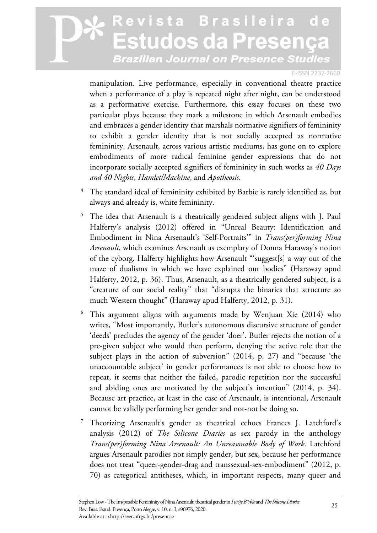#### E-ISSN 2237-2660

manipulation. Live performance, especially in conventional theatre practice when a performance of a play is repeated night after night, can be understood as a performative exercise. Furthermore, this essay focuses on these two particular plays because they mark a milestone in which Arsenault embodies and embraces a gender identity that marshals normative signifiers of femininity to exhibit a gender identity that is not socially accepted as normative femininity. Arsenault, across various artistic mediums, has gone on to explore embodiments of more radical feminine gender expressions that do not incorporate socially accepted signifiers of femininity in such works as *40 Days and 40 Nights*, *Hamlet/Machine*, and *Apotheosis*.

- 4 The standard ideal of femininity exhibited by Barbie is rarely identified as, but always and already is, white femininity.
- 5 The idea that Arsenault is a theatrically gendered subject aligns with J. Paul Halferty's analysis (2012) offered in "Unreal Beauty: Identification and Embodiment in Nina Arsenault's 'Self-Portraits'" in *Trans(per)forming Nina Arsenault*, which examines Arsenault as exemplary of Donna Haraway's notion of the cyborg. Halferty highlights how Arsenault "'suggest[s] a way out of the maze of dualisms in which we have explained our bodies" (Haraway apud Halferty, 2012, p. 36). Thus, Arsenault, as a theatrically gendered subject, is a "creature of our social reality" that "disrupts the binaries that structure so much Western thought" (Haraway apud Halferty, 2012, p. 31).
- 6 This argument aligns with arguments made by Wenjuan Xie (2014) who writes, "Most importantly, Butler's autonomous discursive structure of gender 'deeds' precludes the agency of the gender 'doer'. Butler rejects the notion of a pre-given subject who would then perform, denying the active role that the subject plays in the action of subversion" (2014, p. 27) and "because 'the unaccountable subject' in gender performances is not able to choose how to repeat, it seems that neither the failed, parodic repetition nor the successful and abiding ones are motivated by the subject's intention" (2014, p. 34). Because art practice, at least in the case of Arsenault, is intentional, Arsenault cannot be validly performing her gender and not-not be doing so.
- 7 Theorizing Arsenault's gender as theatrical echoes Frances J. Latchford's analysis (2012) of *The Silicone Diaries* as sex parody in the anthology *Trans(per)forming Nina Arsenault: An Unreasonable Body of Work*. Latchford argues Arsenault parodies not simply gender, but sex, because her performance does not treat "queer-gender-drag and transsexual-sex-embodiment" (2012, p. 70) as categorical antitheses, which, in important respects, many queer and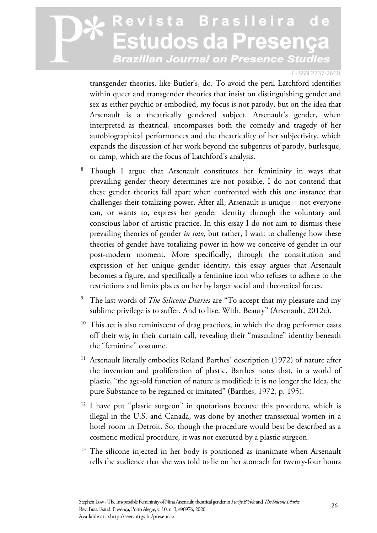#### E-ISSN 2237-2660

transgender theories, like Butler's, do. To avoid the peril Latchford identifies within queer and transgender theories that insist on distinguishing gender and sex as either psychic or embodied, my focus is not parody, but on the idea that Arsenault is a theatrically gendered subject. Arsenault's gender, when interpreted as theatrical, encompasses both the comedy and tragedy of her autobiographical performances and the theatricality of her subjectivity, which expands the discussion of her work beyond the subgenres of parody, burlesque, or camp, which are the focus of Latchford's analysis.

- 8 Though I argue that Arsenault constitutes her femininity in ways that prevailing gender theory determines are not possible, I do not contend that these gender theories fall apart when confronted with this one instance that challenges their totalizing power. After all, Arsenault is unique – not everyone can, or wants to, express her gender identity through the voluntary and conscious labor of artistic practice. In this essay I do not aim to dismiss these prevailing theories of gender *in toto*, but rather, I want to challenge how these theories of gender have totalizing power in how we conceive of gender in our post-modern moment. More specifically, through the constitution and expression of her unique gender identity, this essay argues that Arsenault becomes a figure, and specifically a feminine icon who refuses to adhere to the restrictions and limits places on her by larger social and theoretical forces.
- 9 The last words of *The Silicone Diaries* are "To accept that my pleasure and my sublime privilege is to suffer. And to live. With. Beauty" (Arsenault, 2012c).
- <sup>10</sup> This act is also reminiscent of drag practices, in which the drag performer casts off their wig in their curtain call, revealing their "masculine" identity beneath the "feminine" costume.
- <sup>11</sup> Arsenault literally embodies Roland Barthes' description (1972) of nature after the invention and proliferation of plastic. Barthes notes that, in a world of plastic, "the age-old function of nature is modified: it is no longer the Idea, the pure Substance to be regained or imitated" (Barthes, 1972, p. 195).
- <sup>12</sup> I have put "plastic surgeon" in quotations because this procedure, which is illegal in the U.S. and Canada, was done by another transsexual women in a hotel room in Detroit. So, though the procedure would best be described as a cosmetic medical procedure, it was not executed by a plastic surgeon.
- <sup>13</sup> The silicone injected in her body is positioned as inanimate when Arsenault tells the audience that she was told to lie on her stomach for twenty-four hours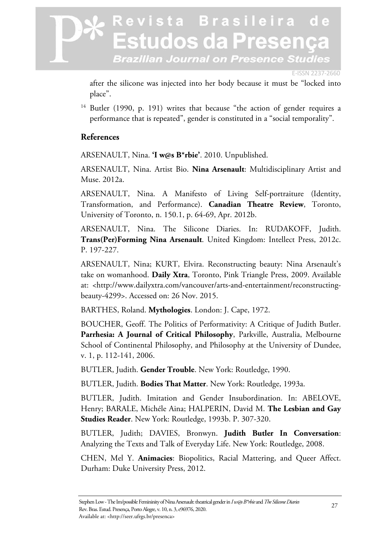#### E-ISSN 2237-2660

after the silicone was injected into her body because it must be "locked into place".

<sup>14</sup> Butler (1990, p. 191) writes that because "the action of gender requires a performance that is repeated", gender is constituted in a "social temporality".

### **References**

ARSENAULT, Nina. **'I w@s B\*rbie'**. 2010. Unpublished.

ARSENAULT, Nina. Artist Bio. **Nina Arsenault**: Multidisciplinary Artist and Muse. 2012a.

ARSENAULT, Nina. A Manifesto of Living Self-portraiture (Identity, Transformation, and Performance). **Canadian Theatre Review**, Toronto, University of Toronto, n. 150.1, p. 64-69, Apr. 2012b.

ARSENAULT, Nina. The Silicone Diaries. In: RUDAKOFF, Judith. **Trans(Per)Forming Nina Arsenault**. United Kingdom: Intellect Press, 2012c. P. 197-227.

ARSENAULT, Nina; KURT, Elvira. Reconstructing beauty: Nina Arsenault's take on womanhood. **Daily Xtra**, Toronto, Pink Triangle Press, 2009. Available at: <http://www.dailyxtra.com/vancouver/arts-and-entertainment/reconstructingbeauty-4299>. Accessed on: 26 Nov. 2015.

BARTHES, Roland. **Mythologies**. London: J. Cape, 1972.

BOUCHER, Geoff. The Politics of Performativity: A Critique of Judith Butler. **Parrhesia: A Journal of Critical Philosophy**, Parkville, Australia, Melbourne School of Continental Philosophy, and Philosophy at the University of Dundee, v. 1, p. 112-141, 2006.

BUTLER, Judith. **Gender Trouble**. New York: Routledge, 1990.

BUTLER, Judith. **Bodies That Matter**. New York: Routledge, 1993a.

BUTLER, Judith. Imitation and Gender Insubordination. In: ABELOVE, Henry; BARALE, Michéle Aina; HALPERIN, David M. **The Lesbian and Gay Studies Reader**. New York: Routledge, 1993b. P. 307-320.

BUTLER, Judith; DAVIES, Bronwyn. **Judith Butler In Conversation**: Analyzing the Texts and Talk of Everyday Life. New York: Routledge, 2008.

CHEN, Mel Y. **Animacies**: Biopolitics, Racial Mattering, and Queer Affect. Durham: Duke University Press, 2012.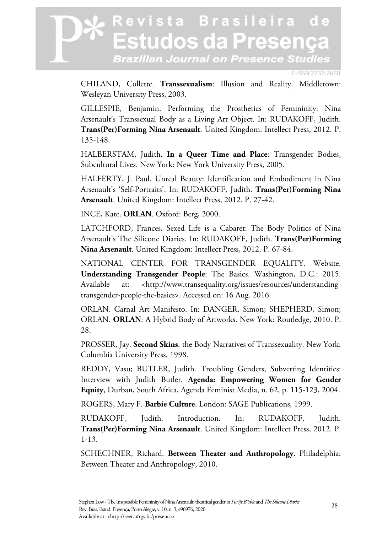E-ISSN 2237-2660

CHILAND, Collette. **Transsexualism**: Illusion and Reality. Middletown: Wesleyan University Press, 2003.

GILLESPIE, Benjamin. Performing the Prosthetics of Femininity: Nina Arsenault's Transsexual Body as a Living Art Object. In: RUDAKOFF, Judith. **Trans(Per)Forming Nina Arsenault**. United Kingdom: Intellect Press, 2012. P. 135-148.

HALBERSTAM, Judith. **In a Queer Time and Place**: Transgender Bodies, Subcultural Lives. New York: New York University Press, 2005.

HALFERTY, J. Paul. Unreal Beauty: Identification and Embodiment in Nina Arsenault's 'Self-Portraits'. In: RUDAKOFF, Judith. **Trans(Per)Forming Nina Arsenault**. United Kingdom: Intellect Press, 2012. P. 27-42.

INCE, Kate. **ORLAN**. Oxford: Berg, 2000.

LATCHFORD, Frances. Sexed Life is a Cabaret: The Body Politics of Nina Arsenault's The Silicone Diaries. In: RUDAKOFF, Judith. **Trans(Per)Forming Nina Arsenault**. United Kingdom: Intellect Press, 2012. P. 67-84.

NATIONAL CENTER FOR TRANSGENDER EQUALITY. Website. **Understanding Transgender People**: The Basics. Washington, D.C.: 2015. Available at: <http://www.transequality.org/issues/resources/understandingtransgender-people-the-basics>. Accessed on: 16 Aug. 2016.

ORLAN. Carnal Art Manifesto. In: DANGER, Simon; SHEPHERD, Simon; ORLAN. **ORLAN**: A Hybrid Body of Artworks. New York: Routledge, 2010. P. 28.

PROSSER, Jay. **Second Skins**: the Body Narratives of Transsexuality. New York: Columbia University Press, 1998.

REDDY, Vasu; BUTLER, Judith. Troubling Genders, Subverting Identities: Interview with Judith Butler. **Agenda: Empowering Women for Gender Equity**, Durban, South Africa, Agenda Feminist Media, n. 62, p. 115-123, 2004.

ROGERS, Mary F. **Barbie Culture**. London: SAGE Publications, 1999.

RUDAKOFF, Judith. Introduction. In: RUDAKOFF, Judith. **Trans(Per)Forming Nina Arsenault**. United Kingdom: Intellect Press, 2012. P. 1-13.

SCHECHNER, Richard. **Between Theater and Anthropology**. Philadelphia: Between Theater and Anthropology, 2010.

Stephen Low - The Im/possible Femininity of Nina Arsenault: theatrical gender in *I w@s B\*rbie* and *The Silicone Diaries* Rev. Bras. Estud. Presença, Porto Alegre, v. 10, n. 3, e96976, 2020. Available at: <http://seer.ufrgs.br/presenca>